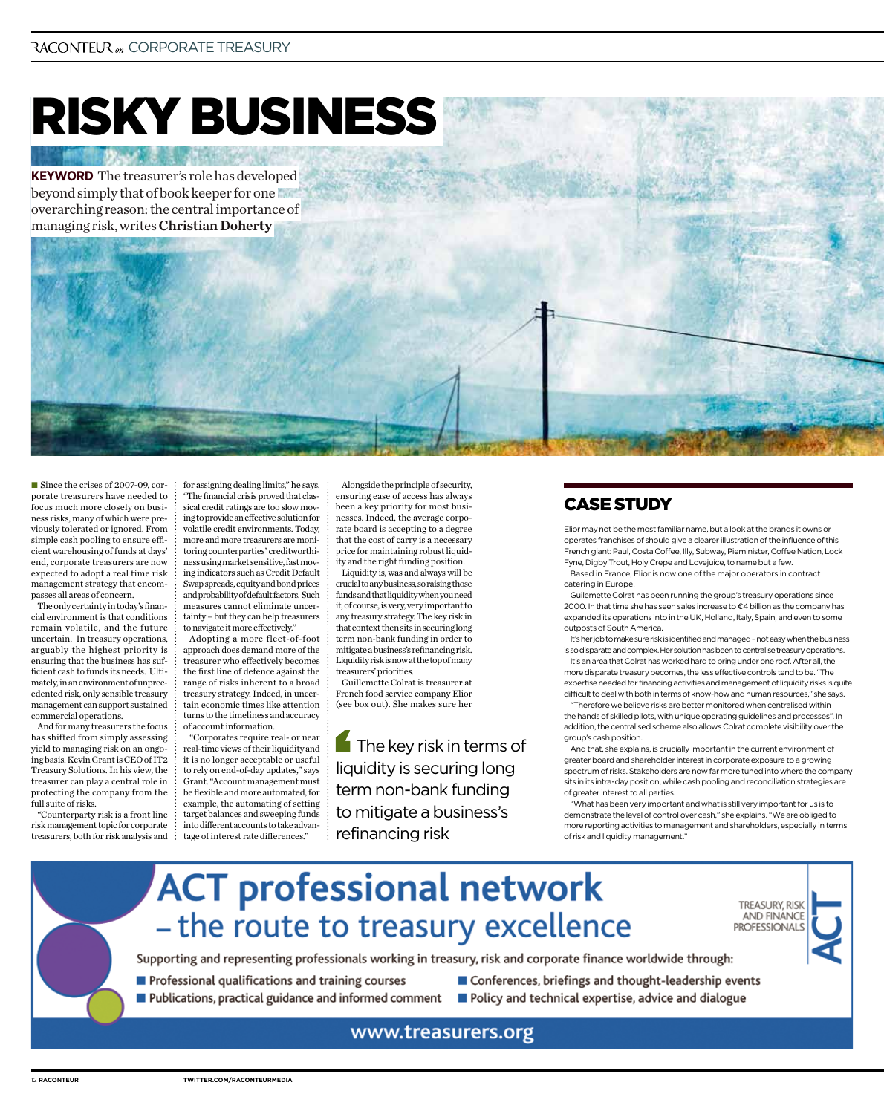## Risky business

**Keyword** The treasurer's role has developed beyond simply that of book keeper for one overarching reason: the central importance of managing risk, writes Christian Doher**ty**

■ Since the crises of 2007-09, corporate treasurers have needed to focus much more closely on business risks, many of which were previously tolerated or ignored. From simple cash pooling to ensure efficient warehousing of funds at days' end, corporate treasurers are now expected to adopt a real time risk management strategy that encompasses all areas of concern.

The only certainty in today's financial environment is that conditions remain volatile, and the future uncertain. In treasury operations, arguably the highest priority is ensuring that the business has sufficient cash to funds its needs. Ultimately, in an environment of unprecedented risk, only sensible treasury management can support sustained commercial operations.

And for many treasurers the focus has shifted from simply assessing yield to managing risk on an ongoing basis. Kevin Grant is CEO of IT2 Treasury Solutions. In his view, the treasurer can play a central role in protecting the company from the full suite of risks.

"Counterparty risk is a front line risk management topic for corporate treasurers, both for risk analysis and for assigning dealing limits," he says. "The financial crisis proved that classical credit ratings are too slow moving to provide an effective solution for volatile credit environments. Today, more and more treasurers are monitoring counterparties' creditworthiness using market sensitive, fast moving indicators such as Credit Default Swap spreads, equity and bond prices and probability of default factors. Such measures cannot eliminate uncertainty – but they can help treasurers to navigate it more effectively."

Adopting a more fleet-of-foot approach does demand more of the treasurer who effectively becomes the first line of defence against the range of risks inherent to a broad treasury strategy. Indeed, in uncertain economic times like attention turns to the timeliness and accuracy of account information.

"Corporates require real- or near real-time views of their liquidity and it is no longer acceptable or useful to rely on end-of-day updates," says Grant. "Account management must be flexible and more automated, for example, the automating of setting target balances and sweeping funds into different accounts to take advantage of interest rate differences."

Alongside the principle of security, ensuring ease of access has always been a key priority for most businesses. Indeed, the average corporate board is accepting to a degree that the cost of carry is a necessary price for maintaining robust liquidity and the right funding position.

Liquidity is, was and always will be crucial to any business, so raising those funds and that liquidity when you need it, of course, is very, very important to any treasury strategy. The key risk in that context then sits in securing long term non-bank funding in order to mitigate a business's refinancing risk. Liquidity risk is now at the top of many treasurers' priorities.

Guillemette Colrat is treasurer at French food service company Elior (see box out). She makes sure her

**The key risk in terms of** liquidity is securing long term non-bank funding to mitigate a business's refinancing risk

## **CASE STUDY**

Elior may not be the most familiar name, but a look at the brands it owns or operates franchises of should give a clearer illustration of the influence of this French giant: Paul, Costa Coffee, Illy, Subway, Pieminister, Coffee Nation, Lock Fyne, Digby Trout, Holy Crepe and Lovejuice, to name but a few.

Based in France, Elior is now one of the major operators in contract catering in Europe.

Guilemette Colrat has been running the group's treasury operations since 2000. In that time she has seen sales increase to  $\epsilon$ 4 billion as the company has expanded its operations into in the UK, Holland, Italy, Spain, and even to some outposts of South America.

It's her job to make sure risk is identified and managed – not easy when the business is so disparate and complex. Her solution has been to centralise treasury operations. It's an area that Colrat has worked hard to bring under one roof. After all, the

more disparate treasury becomes, the less effective controls tend to be. "The expertise needed for financing activities and management of liquidity risks is quite difficult to deal with both in terms of know-how and human resources," she says. "Therefore we believe risks are better monitored when centralised within

the hands of skilled pilots, with unique operating guidelines and processes". In addition, the centralised scheme also allows Colrat complete visibility over the group's cash position.

And that, she explains, is crucially important in the current environment of greater board and shareholder interest in corporate exposure to a growing spectrum of risks. Stakeholders are now far more tuned into where the company sits in its intra-day position, while cash pooling and reconciliation strategies are of greater interest to all parties.

"What has been very important and what is still very important for us is to demonstrate the level of control over cash," she explains. "We are obliged to more reporting activities to management and shareholders, especially in terms of risk and liquidity management."